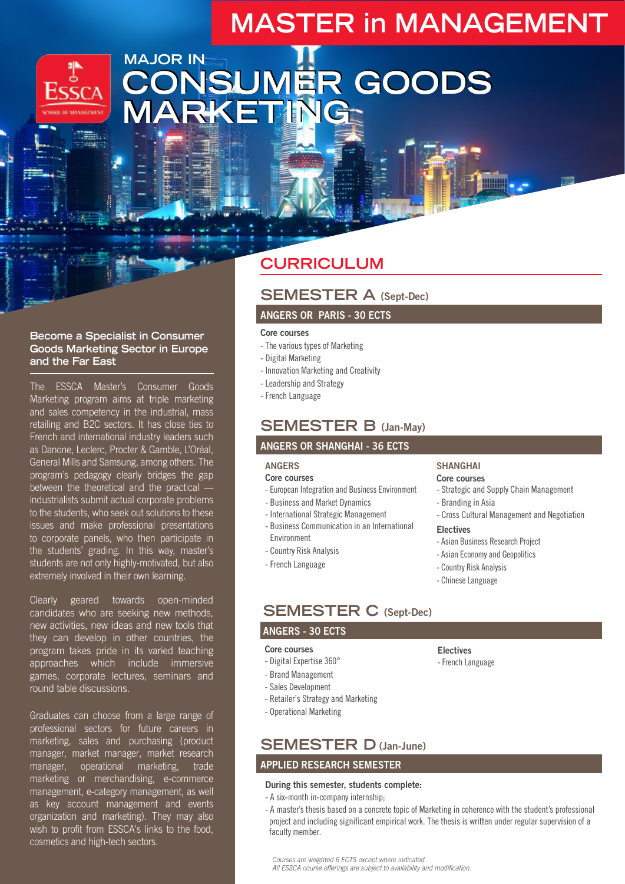# **MASTER in MANAGEMENT**



### **MAJOR IN CONSUMER GOODS MARKETING CONSUMER GOODS MARKETING**

#### **Become a Specialist in Consumer Goods Marketing Sector in Europe and the Far East**

The ESSCA Master's Consumer Goods Marketing program aims at triple marketing and sales competency in the industrial, mass retailing and B2C sectors. It has close ties to French and international industry leaders such as Danone, Leclerc, Procter & Gamble, L'Oréal, General Mills and Samsung, among others. The program's pedagogy clearly bridges the gap between the theoretical and the practical industrialists submit actual corporate problems to the students, who seek out solutions to these issues and make professional presentations to corporate panels, who then participate in the students' grading. In this way, master's students are not only highly-motivated, but also extremely involved in their own learning.

Clearly geared towards open-minded candidates who are seeking new methods, new activities, new ideas and new tools that they can develop in other countries, the program takes pride in its varied teaching approaches which include immersive games, corporate lectures, seminars and round table discussions.

Graduates can choose from a large range of professional sectors for future careers in marketing, sales and purchasing (product manager, market manager, market research manager, operational marketing, trade marketing or merchandising, e-commerce management, e-category management, as well as key account management and events organization and marketing). They may also wish to profit from ESSCA's links to the food, cosmetics and high-tech sectors.

### **CURRICULUM**

#### **SEMESTER A (Sept-Dec)**

#### **ANGERS OR PARIS - 30 ECTS**

#### Core courses

- The various types of Marketing
- Digital Marketing
- Innovation Marketing and Creativity
- Leadership and Strategy
- French Language

### **SEMESTER B (Jan-May)**

#### **ANGERS OR SHANGHAI - 36 ECTS**

#### **ANGERS**

#### Core courses

- European Integration and Business Environment
- Business and Market Dynamics
- International Strategic Management
- Business Communication in an International Environment
- Country Risk Analysis
- French Language

#### **SHANGHAI**

#### **Core courses**

- Strategic and Supply Chain Management
- Branding in Asia
- Cross Cultural Management and Negotiation

#### **Electives**

- Asian Business Research Project
- Asian Economy and Geopolitics
- Country Risk Analysis
- Chinese Language

### **SEMESTER C (Sept-Dec)**

#### **ANGERS - 30 ECTS**

#### Core courses

- Digital Expertise 360°
- Brand Management
- Sales Development
- Retailer's Strategy and Marketing
- Operational Marketing

### **SEMESTER D (Jan-June)**

#### **APPLIED RESEARCH SEMESTER**

#### **During this semester, students complete:**

- A six-month in-company internship;
- A master's thesis based on a concrete topic of Marketing in coherence with the student's professional project and including significant empirical work. The thesis is written under regular supervision of a faculty member.

*Courses are weighted 6 ECTS except where indicated.*

*All ESSCA course offerings are subject to availability and modification.*

- French Language
- 
- **Electives**